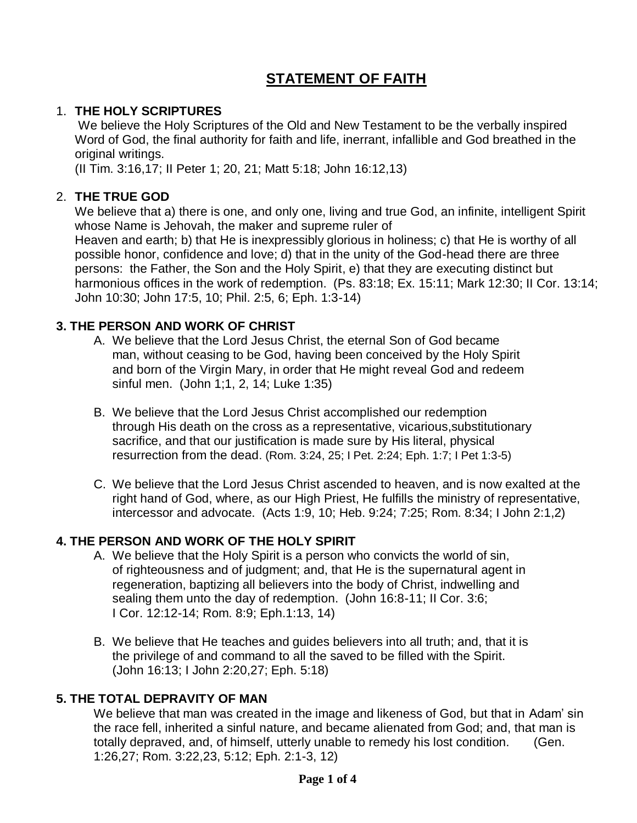# **STATEMENT OF FAITH**

## 1. **THE HOLY SCRIPTURES**

We believe the Holy Scriptures of the Old and New Testament to be the verbally inspired Word of God, the final authority for faith and life, inerrant, infallible and God breathed in the original writings.

(II Tim. 3:16,17; II Peter 1; 20, 21; Matt 5:18; John 16:12,13)

## 2. **THE TRUE GOD**

We believe that a) there is one, and only one, living and true God, an infinite, intelligent Spirit whose Name is Jehovah, the maker and supreme ruler of Heaven and earth; b) that He is inexpressibly glorious in holiness; c) that He is worthy of all possible honor, confidence and love; d) that in the unity of the God-head there are three persons: the Father, the Son and the Holy Spirit, e) that they are executing distinct but harmonious offices in the work of redemption. (Ps. 83:18; Ex. 15:11; Mark 12:30; II Cor. 13:14; John 10:30; John 17:5, 10; Phil. 2:5, 6; Eph. 1:3-14)

## **3. THE PERSON AND WORK OF CHRIST**

- A. We believe that the Lord Jesus Christ, the eternal Son of God became man, without ceasing to be God, having been conceived by the Holy Spirit and born of the Virgin Mary, in order that He might reveal God and redeem sinful men. (John 1;1, 2, 14; Luke 1:35)
- B. We believe that the Lord Jesus Christ accomplished our redemption through His death on the cross as a representative, vicarious,substitutionary sacrifice, and that our justification is made sure by His literal, physical resurrection from the dead. (Rom. 3:24, 25; I Pet. 2:24; Eph. 1:7; I Pet 1:3-5)
- C. We believe that the Lord Jesus Christ ascended to heaven, and is now exalted at the right hand of God, where, as our High Priest, He fulfills the ministry of representative, intercessor and advocate. (Acts 1:9, 10; Heb. 9:24; 7:25; Rom. 8:34; I John 2:1,2)

## **4. THE PERSON AND WORK OF THE HOLY SPIRIT**

- A. We believe that the Holy Spirit is a person who convicts the world of sin, of righteousness and of judgment; and, that He is the supernatural agent in regeneration, baptizing all believers into the body of Christ, indwelling and sealing them unto the day of redemption. (John 16:8-11; II Cor. 3:6; I Cor. 12:12-14; Rom. 8:9; Eph.1:13, 14)
- B. We believe that He teaches and guides believers into all truth; and, that it is the privilege of and command to all the saved to be filled with the Spirit. (John 16:13; I John 2:20,27; Eph. 5:18)

# **5. THE TOTAL DEPRAVITY OF MAN**

We believe that man was created in the image and likeness of God, but that in Adam' sin the race fell, inherited a sinful nature, and became alienated from God; and, that man is totally depraved, and, of himself, utterly unable to remedy his lost condition. (Gen. 1:26,27; Rom. 3:22,23, 5:12; Eph. 2:1-3, 12)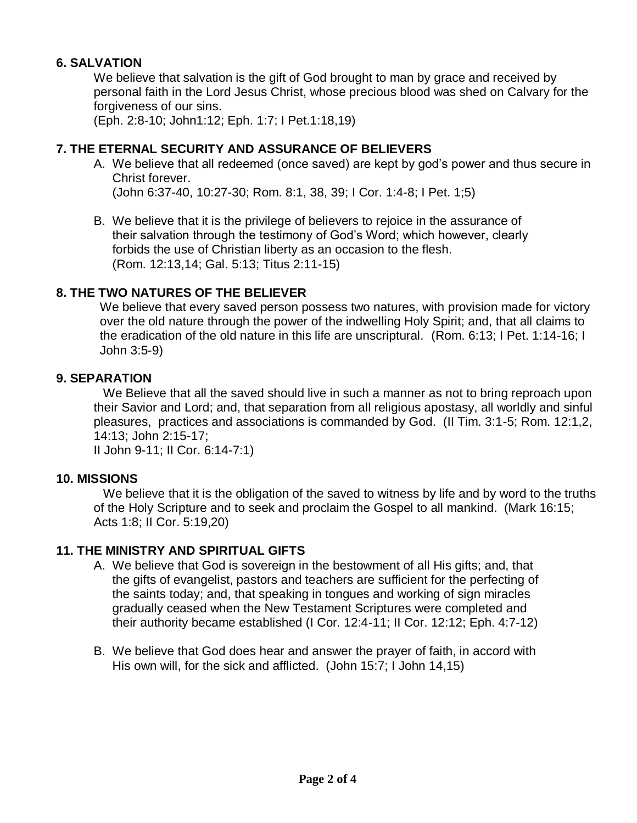## **6. SALVATION**

We believe that salvation is the gift of God brought to man by grace and received by personal faith in the Lord Jesus Christ, whose precious blood was shed on Calvary for the forgiveness of our sins.

(Eph. 2:8-10; John1:12; Eph. 1:7; I Pet.1:18,19)

## **7. THE ETERNAL SECURITY AND ASSURANCE OF BELIEVERS**

A. We believe that all redeemed (once saved) are kept by god's power and thus secure in Christ forever.

(John 6:37-40, 10:27-30; Rom. 8:1, 38, 39; I Cor. 1:4-8; I Pet. 1;5)

B. We believe that it is the privilege of believers to rejoice in the assurance of their salvation through the testimony of God's Word; which however, clearly forbids the use of Christian liberty as an occasion to the flesh. (Rom. 12:13,14; Gal. 5:13; Titus 2:11-15)

## **8. THE TWO NATURES OF THE BELIEVER**

We believe that every saved person possess two natures, with provision made for victory over the old nature through the power of the indwelling Holy Spirit; and, that all claims to the eradication of the old nature in this life are unscriptural. (Rom. 6:13; I Pet. 1:14-16; I John 3:5-9)

#### **9. SEPARATION**

We Believe that all the saved should live in such a manner as not to bring reproach upon their Savior and Lord; and, that separation from all religious apostasy, all worldly and sinful pleasures, practices and associations is commanded by God. (II Tim. 3:1-5; Rom. 12:1,2, 14:13; John 2:15-17;

II John 9-11; II Cor. 6:14-7:1)

#### **10. MISSIONS**

We believe that it is the obligation of the saved to witness by life and by word to the truths of the Holy Scripture and to seek and proclaim the Gospel to all mankind. (Mark 16:15; Acts 1:8; II Cor. 5:19,20)

#### **11. THE MINISTRY AND SPIRITUAL GIFTS**

- A. We believe that God is sovereign in the bestowment of all His gifts; and, that the gifts of evangelist, pastors and teachers are sufficient for the perfecting of the saints today; and, that speaking in tongues and working of sign miracles gradually ceased when the New Testament Scriptures were completed and their authority became established (I Cor. 12:4-11; II Cor. 12:12; Eph. 4:7-12)
- B. We believe that God does hear and answer the prayer of faith, in accord with His own will, for the sick and afflicted. (John 15:7; I John 14,15)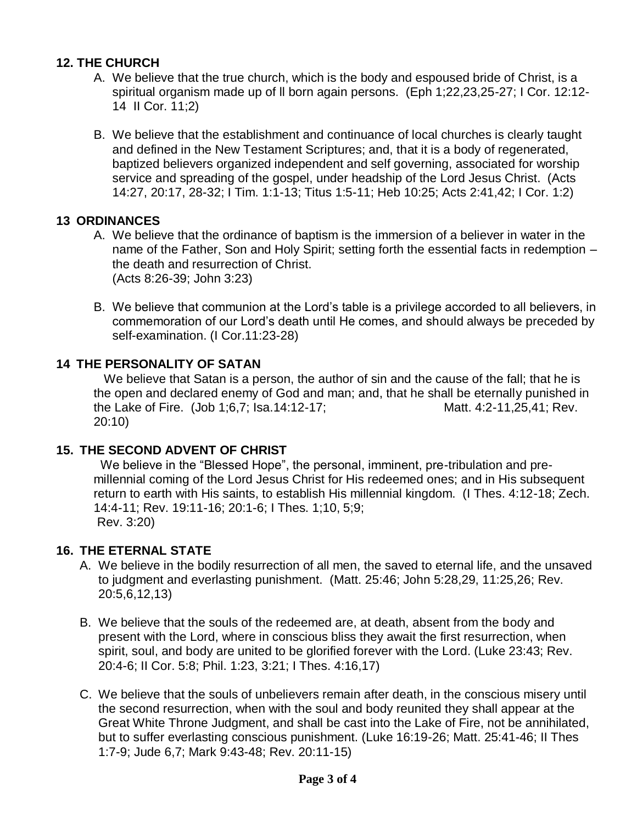## **12. THE CHURCH**

- A. We believe that the true church, which is the body and espoused bride of Christ, is a spiritual organism made up of ll born again persons. (Eph 1;22,23,25-27; I Cor. 12:12- 14 II Cor. 11;2)
- B. We believe that the establishment and continuance of local churches is clearly taught and defined in the New Testament Scriptures; and, that it is a body of regenerated, baptized believers organized independent and self governing, associated for worship service and spreading of the gospel, under headship of the Lord Jesus Christ. (Acts 14:27, 20:17, 28-32; I Tim. 1:1-13; Titus 1:5-11; Heb 10:25; Acts 2:41,42; I Cor. 1:2)

#### **13 ORDINANCES**

- A. We believe that the ordinance of baptism is the immersion of a believer in water in the name of the Father, Son and Holy Spirit; setting forth the essential facts in redemption – the death and resurrection of Christ. (Acts 8:26-39; John 3:23)
- B. We believe that communion at the Lord's table is a privilege accorded to all believers, in commemoration of our Lord's death until He comes, and should always be preceded by self-examination. (I Cor.11:23-28)

## **14 THE PERSONALITY OF SATAN**

 We believe that Satan is a person, the author of sin and the cause of the fall; that he is the open and declared enemy of God and man; and, that he shall be eternally punished in the Lake of Fire. (Job 1:6.7; Isa.14:12-17; Matt. 4:2-11.25.41; Rev. 20:10)

#### **15. THE SECOND ADVENT OF CHRIST**

 We believe in the "Blessed Hope", the personal, imminent, pre-tribulation and premillennial coming of the Lord Jesus Christ for His redeemed ones; and in His subsequent return to earth with His saints, to establish His millennial kingdom. (I Thes. 4:12-18; Zech. 14:4-11; Rev. 19:11-16; 20:1-6; I Thes. 1;10, 5;9; Rev. 3:20)

#### **16. THE ETERNAL STATE**

- A. We believe in the bodily resurrection of all men, the saved to eternal life, and the unsaved to judgment and everlasting punishment. (Matt. 25:46; John 5:28,29, 11:25,26; Rev. 20:5,6,12,13)
- B. We believe that the souls of the redeemed are, at death, absent from the body and present with the Lord, where in conscious bliss they await the first resurrection, when spirit, soul, and body are united to be glorified forever with the Lord. (Luke 23:43; Rev. 20:4-6; II Cor. 5:8; Phil. 1:23, 3:21; I Thes. 4:16,17)
- C. We believe that the souls of unbelievers remain after death, in the conscious misery until the second resurrection, when with the soul and body reunited they shall appear at the Great White Throne Judgment, and shall be cast into the Lake of Fire, not be annihilated, but to suffer everlasting conscious punishment. (Luke 16:19-26; Matt. 25:41-46; II Thes 1:7-9; Jude 6,7; Mark 9:43-48; Rev. 20:11-15)